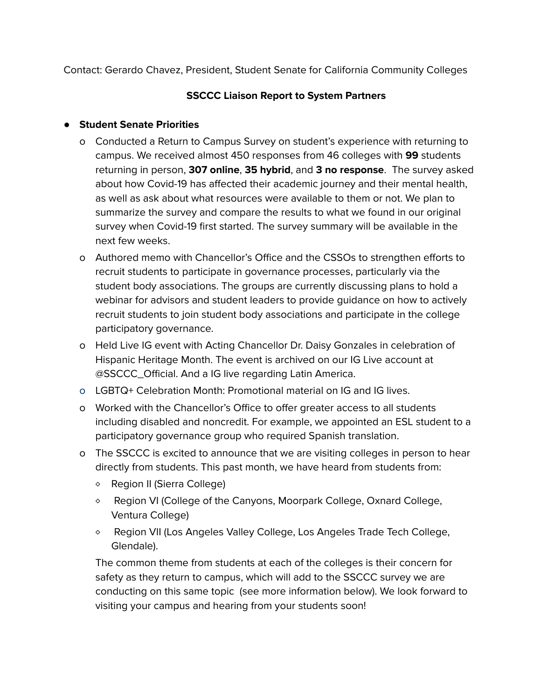Contact: Gerardo Chavez, President, Student Senate for California Community Colleges

## **SSCCC Liaison Report to System Partners**

## **● Student Senate Priorities**

- o Conducted a Return to Campus Survey on student's experience with returning to campus. We received almost 450 responses from 46 colleges with **99** students returning in person, **307 online**, **35 hybrid**, and **3 no response**. The survey asked about how Covid-19 has affected their academic journey and their mental health, as well as ask about what resources were available to them or not. We plan to summarize the survey and compare the results to what we found in our original survey when Covid-19 first started. The survey summary will be available in the next few weeks.
- o Authored memo with Chancellor's Office and the CSSOs to strengthen efforts to recruit students to participate in governance processes, particularly via the student body associations. The groups are currently discussing plans to hold a webinar for advisors and student leaders to provide guidance on how to actively recruit students to join student body associations and participate in the college participatory governance.
- o Held Live IG event with Acting Chancellor Dr. Daisy Gonzales in celebration of Hispanic Heritage Month. The event is archived on our IG Live account at @SSCCC\_Official. And a IG live regarding Latin America.
- o LGBTQ+ Celebration Month: Promotional material on IG and IG lives.
- o Worked with the Chancellor's Office to offer greater access to all students including disabled and noncredit. For example, we appointed an ESL student to a participatory governance group who required Spanish translation.
- o The SSCCC is excited to announce that we are visiting colleges in person to hear directly from students. This past month, we have heard from students from:
	- ⬥ Region II (Sierra College)
	- $\circ$  Region VI (College of the Canyons, Moorpark College, Oxnard College, Ventura College)
	- ⬥ Region VII (Los Angeles Valley College, Los Angeles Trade Tech College, Glendale).

The common theme from students at each of the colleges is their concern for safety as they return to campus, which will add to the SSCCC survey we are conducting on this same topic (see more information below). We look forward to visiting your campus and hearing from your students soon!